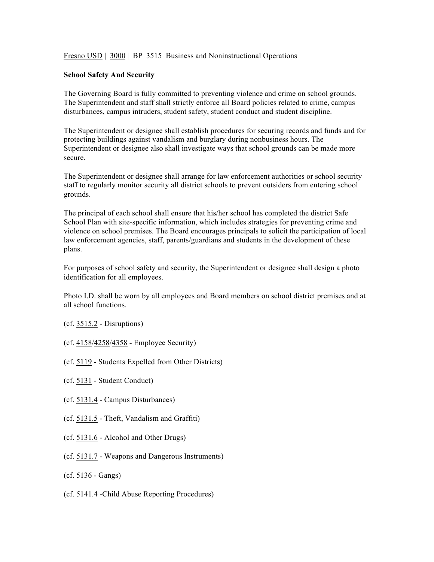Fresno USD | 3000 | BP 3515 Business and Noninstructional Operations

## **School Safety And Security**

The Governing Board is fully committed to preventing violence and crime on school grounds. The Superintendent and staff shall strictly enforce all Board policies related to crime, campus disturbances, campus intruders, student safety, student conduct and student discipline.

The Superintendent or designee shall establish procedures for securing records and funds and for protecting buildings against vandalism and burglary during nonbusiness hours. The Superintendent or designee also shall investigate ways that school grounds can be made more secure.

The Superintendent or designee shall arrange for law enforcement authorities or school security staff to regularly monitor security all district schools to prevent outsiders from entering school grounds.

The principal of each school shall ensure that his/her school has completed the district Safe School Plan with site-specific information, which includes strategies for preventing crime and violence on school premises. The Board encourages principals to solicit the participation of local law enforcement agencies, staff, parents/guardians and students in the development of these plans.

For purposes of school safety and security, the Superintendent or designee shall design a photo identification for all employees.

Photo I.D. shall be worn by all employees and Board members on school district premises and at all school functions.

- (cf. 3515.2 Disruptions)
- (cf. 4158/4258/4358 Employee Security)
- (cf. 5119 Students Expelled from Other Districts)
- (cf. 5131 Student Conduct)
- (cf. 5131.4 Campus Disturbances)
- (cf. 5131.5 Theft, Vandalism and Graffiti)
- (cf. 5131.6 Alcohol and Other Drugs)
- (cf. 5131.7 Weapons and Dangerous Instruments)
- (cf. 5136 Gangs)
- (cf. 5141.4 -Child Abuse Reporting Procedures)